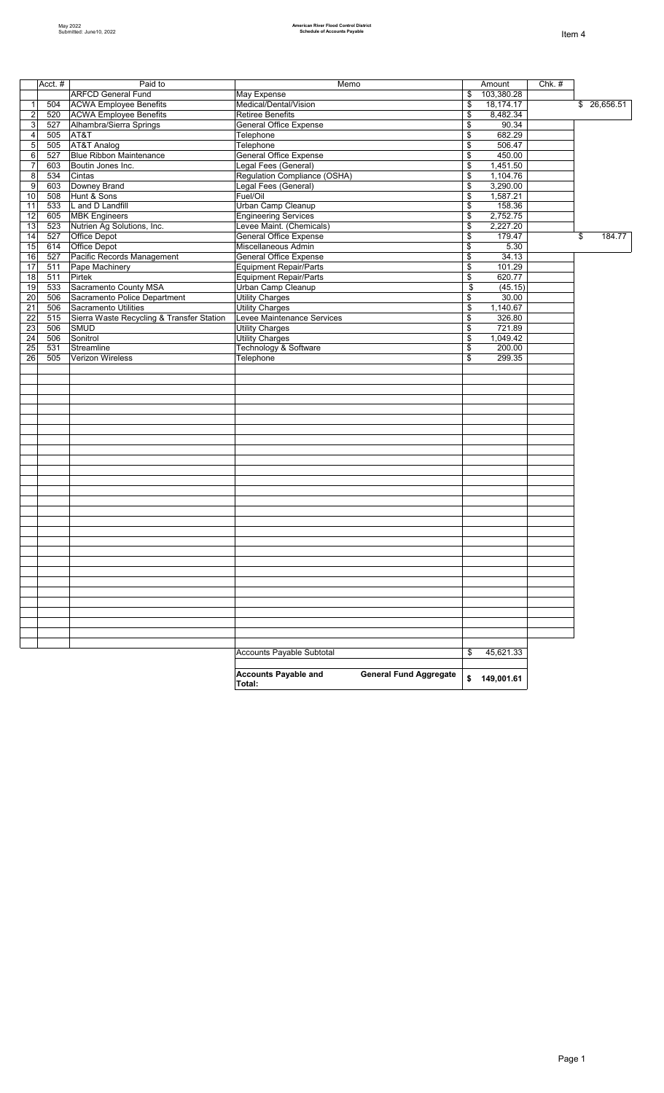|                         | Acct. $#$ | Paid to                                   | Memo                                                                   | Amount           | Chk. # |              |
|-------------------------|-----------|-------------------------------------------|------------------------------------------------------------------------|------------------|--------|--------------|
|                         |           | <b>ARFCD General Fund</b>                 | May Expense                                                            | \$<br>103,380.28 |        |              |
| $\mathbf{1}$            | 504       | <b>ACWA Employee Benefits</b>             | Medical/Dental/Vision                                                  | \$<br>18,174.17  |        | \$26,656.51  |
| $\sqrt{2}$              | 520       | <b>ACWA Employee Benefits</b>             | <b>Retiree Benefits</b>                                                | \$<br>8,482.34   |        |              |
| 3                       | 527       | Alhambra/Sierra Springs                   | General Office Expense                                                 | \$<br>90.34      |        |              |
| $\overline{\mathbf{4}}$ | 505       | AT&T                                      | Telephone                                                              | \$<br>682.29     |        |              |
| $\overline{5}$          | 505       | AT&T Analog                               | Telephone                                                              | \$<br>506.47     |        |              |
| 6                       | 527       | <b>Blue Ribbon Maintenance</b>            | <b>General Office Expense</b>                                          | \$<br>450.00     |        |              |
| $\overline{7}$          | 603       | Boutin Jones Inc.                         | Legal Fees (General)                                                   | \$<br>1,451.50   |        |              |
| $\,8\,$                 | 534       | Cintas                                    | Regulation Compliance (OSHA)                                           | \$<br>1,104.76   |        |              |
| 9                       | 603       | Downey Brand                              | Legal Fees (General)                                                   | \$<br>3,290.00   |        |              |
| 10                      | 508       | Hunt & Sons                               | Fuel/Oil                                                               | \$<br>1,587.21   |        |              |
| 11                      | 533       | L and D Landfill                          | Urban Camp Cleanup                                                     | \$<br>158.36     |        |              |
| 12                      | 605       | <b>MBK Engineers</b>                      | <b>Engineering Services</b>                                            | \$<br>2,752.75   |        |              |
| 13                      | 523       | Nutrien Ag Solutions, Inc.                | Levee Maint. (Chemicals)                                               | \$<br>2,227.20   |        |              |
| 14                      | 527       | Office Depot                              | <b>General Office Expense</b>                                          | \$<br>179.47     |        | \$<br>184.77 |
| 15                      | 614       | Office Depot                              | Miscellaneous Admin                                                    | \$<br>5.30       |        |              |
| 16                      | 527       | Pacific Records Management                | <b>General Office Expense</b>                                          | \$<br>34.13      |        |              |
| 17                      | 511       | Pape Machinery                            | <b>Equipment Repair/Parts</b>                                          | \$<br>101.29     |        |              |
| 18                      | 511       | Pirtek                                    | <b>Equipment Repair/Parts</b>                                          | \$<br>620.77     |        |              |
| 19                      | 533       | Sacramento County MSA                     | Urban Camp Cleanup                                                     | \$<br>(45.15)    |        |              |
| 20                      | 506       | Sacramento Police Department              | <b>Utility Charges</b>                                                 | \$<br>30.00      |        |              |
| 21                      | 506       | Sacramento Utilities                      | <b>Utility Charges</b>                                                 | \$<br>1,140.67   |        |              |
| $\overline{22}$         | 515       | Sierra Waste Recycling & Transfer Station | Levee Maintenance Services                                             | \$<br>326.80     |        |              |
| 23                      | 506       | SMUD                                      | <b>Utility Charges</b>                                                 | \$<br>721.89     |        |              |
| 24                      | 506       | Sonitrol                                  | <b>Utility Charges</b>                                                 | \$<br>1,049.42   |        |              |
| 25                      | 531       | Streamline                                | Technology & Software                                                  | \$<br>200.00     |        |              |
| 26                      | 505       | Verizon Wireless                          | Telephone                                                              | \$<br>299.35     |        |              |
|                         |           |                                           |                                                                        |                  |        |              |
|                         |           |                                           |                                                                        |                  |        |              |
|                         |           |                                           |                                                                        |                  |        |              |
|                         |           |                                           |                                                                        |                  |        |              |
|                         |           |                                           |                                                                        |                  |        |              |
|                         |           |                                           |                                                                        |                  |        |              |
|                         |           |                                           |                                                                        |                  |        |              |
|                         |           |                                           |                                                                        |                  |        |              |
|                         |           |                                           |                                                                        |                  |        |              |
|                         |           |                                           |                                                                        |                  |        |              |
|                         |           |                                           |                                                                        |                  |        |              |
|                         |           |                                           |                                                                        |                  |        |              |
|                         |           |                                           |                                                                        |                  |        |              |
|                         |           |                                           |                                                                        |                  |        |              |
|                         |           |                                           |                                                                        |                  |        |              |
|                         |           |                                           |                                                                        |                  |        |              |
|                         |           |                                           |                                                                        |                  |        |              |
|                         |           |                                           |                                                                        |                  |        |              |
|                         |           |                                           |                                                                        |                  |        |              |
|                         |           |                                           |                                                                        |                  |        |              |
|                         |           |                                           |                                                                        |                  |        |              |
|                         |           |                                           |                                                                        |                  |        |              |
|                         |           |                                           |                                                                        |                  |        |              |
|                         |           |                                           |                                                                        |                  |        |              |
|                         |           |                                           |                                                                        |                  |        |              |
|                         |           |                                           |                                                                        |                  |        |              |
|                         |           |                                           |                                                                        |                  |        |              |
|                         |           |                                           | Accounts Payable Subtotal                                              | \$<br>45,621.33  |        |              |
|                         |           |                                           |                                                                        |                  |        |              |
|                         |           |                                           | <b>Accounts Payable and</b><br><b>General Fund Aggregate</b><br>Total: | \$<br>149,001.61 |        |              |
|                         |           |                                           |                                                                        |                  |        |              |